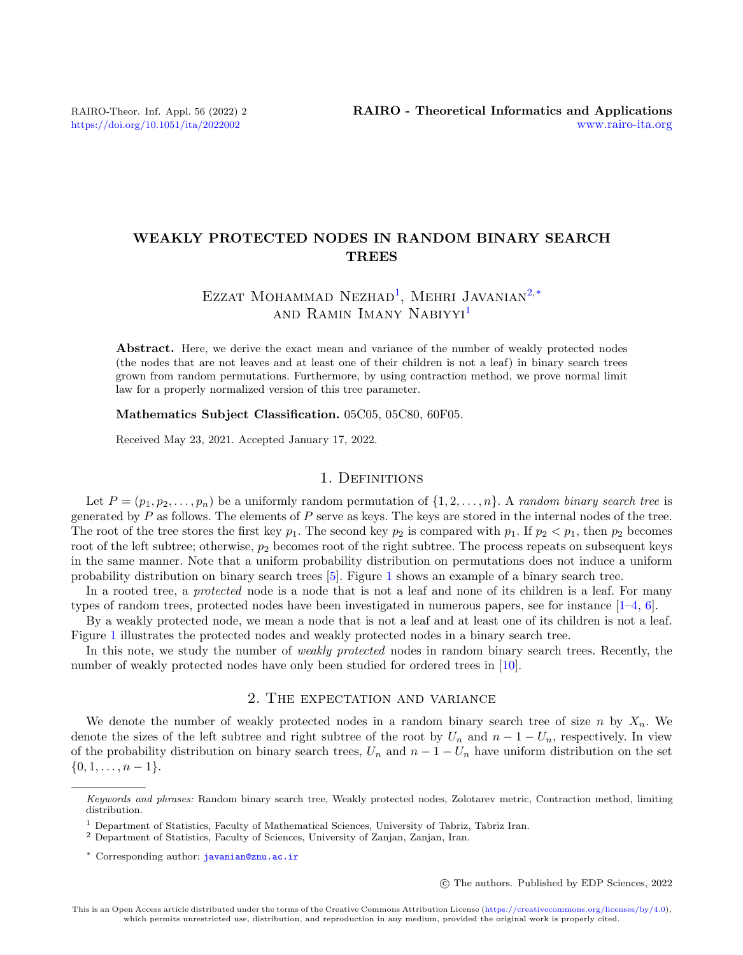# WEAKLY PROTECTED NODES IN RANDOM BINARY SEARCH TREES

# EZZAT MOHAMMAD NEZHAD<sup>[1](#page-0-0)</sup>, MEHRI JAVANIAN<sup>[2,](#page-0-1)[\\*](#page-0-2)</sup> and Ramin Imany Nabiyyi[1](#page-0-0)

Abstract. Here, we derive the exact mean and variance of the number of weakly protected nodes (the nodes that are not leaves and at least one of their children is not a leaf) in binary search trees grown from random permutations. Furthermore, by using contraction method, we prove normal limit law for a properly normalized version of this tree parameter.

Mathematics Subject Classification. 05C05, 05C80, 60F05.

Received May 23, 2021. Accepted January 17, 2022.

## 1. Definitions

Let  $P = (p_1, p_2, \ldots, p_n)$  be a uniformly random permutation of  $\{1, 2, \ldots, n\}$ . A *random binary search tree* is generated by  $P$  as follows. The elements of  $P$  serve as keys. The keys are stored in the internal nodes of the tree. The root of the tree stores the first key  $p_1$ . The second key  $p_2$  is compared with  $p_1$ . If  $p_2 < p_1$ , then  $p_2$  becomes root of the left subtree; otherwise,  $p_2$  becomes root of the right subtree. The process repeats on subsequent keys in the same manner. Note that a uniform probability distribution on permutations does not induce a uniform probability distribution on binary search trees [\[5\]](#page-6-0). Figure [1](#page-1-0) shows an example of a binary search tree.

In a rooted tree, a *protected* node is a node that is not a leaf and none of its children is a leaf. For many types of random trees, protected nodes have been investigated in numerous papers, see for instance  $[1-4, 6]$  $[1-4, 6]$  $[1-4, 6]$  $[1-4, 6]$ .

By a weakly protected node, we mean a node that is not a leaf and at least one of its children is not a leaf. Figure [1](#page-1-0) illustrates the protected nodes and weakly protected nodes in a binary search tree.

In this note, we study the number of *weakly protected* nodes in random binary search trees. Recently, the number of weakly protected nodes have only been studied for ordered trees in [\[10\]](#page-7-0).

# 2. The expectation and variance

We denote the number of weakly protected nodes in a random binary search tree of size n by  $X_n$ . We denote the sizes of the left subtree and right subtree of the root by  $U_n$  and  $n-1-U_n$ , respectively. In view of the probability distribution on binary search trees,  $U_n$  and  $n-1-U_n$  have uniform distribution on the set  $\{0, 1, \ldots, n-1\}.$ 

c The authors. Published by EDP Sciences, 2022

<span id="page-0-2"></span>Keywords and phrases: Random binary search tree, Weakly protected nodes, Zolotarev metric, Contraction method, limiting distribution.

<span id="page-0-0"></span><sup>&</sup>lt;sup>1</sup> Department of Statistics, Faculty of Mathematical Sciences, University of Tabriz, Tabriz Iran.

<span id="page-0-1"></span><sup>2</sup> Department of Statistics, Faculty of Sciences, University of Zanjan, Zanjan, Iran.

<sup>\*</sup> Corresponding author: [javanian@znu.ac.ir](mailto:javanian@znu.ac.ir)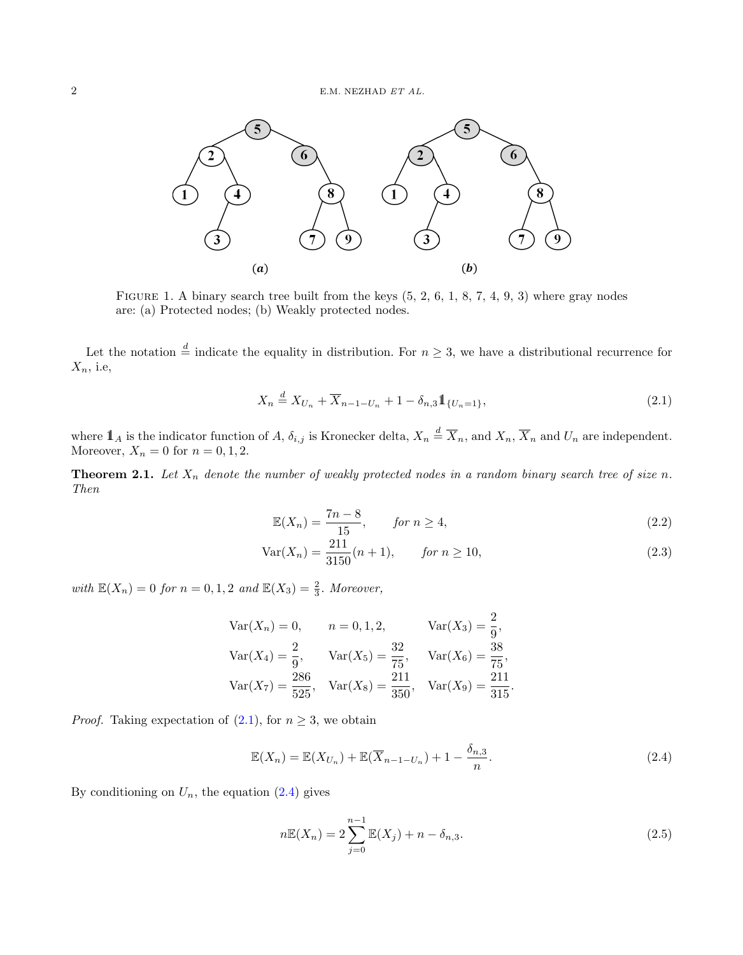

<span id="page-1-0"></span>FIGURE 1. A binary search tree built from the keys  $(5, 2, 6, 1, 8, 7, 4, 9, 3)$  where gray nodes are: (a) Protected nodes; (b) Weakly protected nodes.

Let the notation  $\stackrel{d}{=}$  indicate the equality in distribution. For  $n \geq 3$ , we have a distributional recurrence for  $X_n$ , i.e.

<span id="page-1-1"></span>
$$
X_n \stackrel{d}{=} X_{U_n} + \overline{X}_{n-1-U_n} + 1 - \delta_{n,3} \mathbb{1}_{\{U_n = 1\}},
$$
\n(2.1)

where  $1\!\!1_A$  is the indicator function of A,  $\delta_{i,j}$  is Kronecker delta,  $X_n \stackrel{d}{=} \overline{X}_n$ , and  $X_n$ ,  $\overline{X}_n$  and  $U_n$  are independent. Moreover,  $X_n = 0$  for  $n = 0, 1, 2$ .

**Theorem 2.1.** Let  $X_n$  denote the number of weakly protected nodes in a random binary search tree of size n. Then

<span id="page-1-5"></span><span id="page-1-4"></span>
$$
\mathbb{E}(X_n) = \frac{7n-8}{15}, \qquad \text{for } n \ge 4,
$$
\n
$$
(2.2)
$$

$$
Var(X_n) = \frac{211}{3150}(n+1), \qquad \text{for } n \ge 10,
$$
\n(2.3)

with  $\mathbb{E}(X_n) = 0$  for  $n = 0, 1, 2$  and  $\mathbb{E}(X_3) = \frac{2}{3}$ . Moreover,

$$
Var(X_n) = 0, \t n = 0, 1, 2, \t Var(X_3) = \frac{2}{9},
$$
  
\n
$$
Var(X_4) = \frac{2}{9}, \t Var(X_5) = \frac{32}{75}, \t Var(X_6) = \frac{38}{75},
$$
  
\n
$$
Var(X_7) = \frac{286}{525}, \t Var(X_8) = \frac{211}{350}, \t Var(X_9) = \frac{211}{315}.
$$

*Proof.* Taking expectation of  $(2.1)$ , for  $n \geq 3$ , we obtain

$$
\mathbb{E}(X_n) = \mathbb{E}(X_{U_n}) + \mathbb{E}(\overline{X}_{n-1-U_n}) + 1 - \frac{\delta_{n,3}}{n}.
$$
\n(2.4)

By conditioning on  $U_n$ , the equation  $(2.4)$  gives

<span id="page-1-3"></span><span id="page-1-2"></span>
$$
n\mathbb{E}(X_n) = 2\sum_{j=0}^{n-1} \mathbb{E}(X_j) + n - \delta_{n,3}.
$$
 (2.5)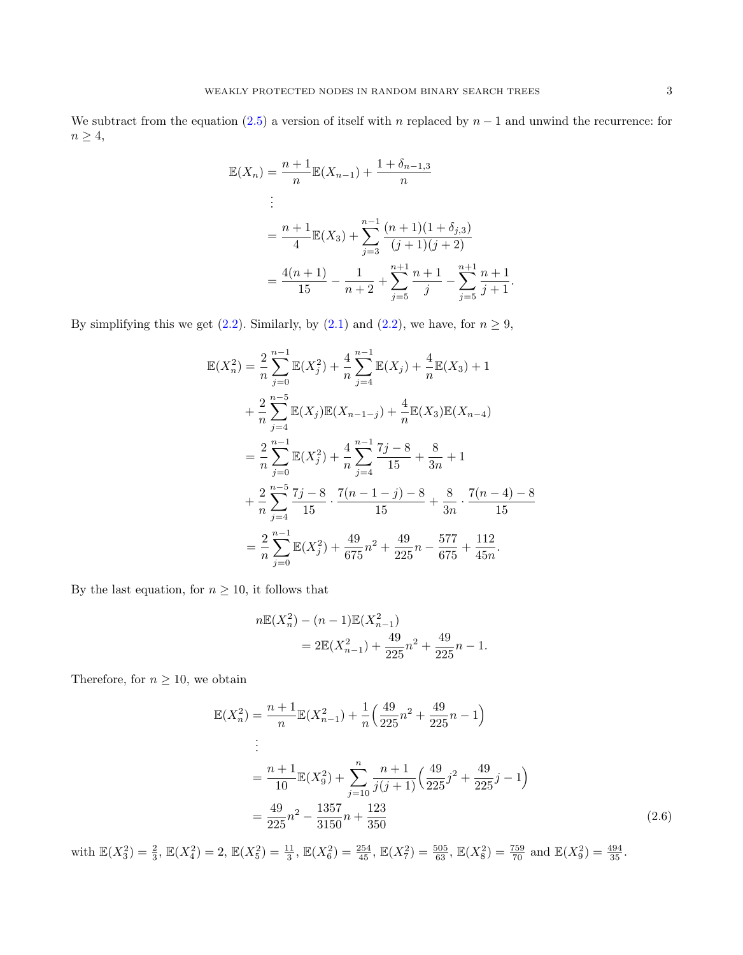We subtract from the equation [\(2.5\)](#page-1-3) a version of itself with n replaced by  $n-1$  and unwind the recurrence: for  $n\geq 4,$ 

$$
\mathbb{E}(X_n) = \frac{n+1}{n} \mathbb{E}(X_{n-1}) + \frac{1+\delta_{n-1,3}}{n}
$$
  
\n
$$
\vdots
$$
  
\n
$$
= \frac{n+1}{4} \mathbb{E}(X_3) + \sum_{j=3}^{n-1} \frac{(n+1)(1+\delta_{j,3})}{(j+1)(j+2)}
$$
  
\n
$$
= \frac{4(n+1)}{15} - \frac{1}{n+2} + \sum_{j=5}^{n+1} \frac{n+1}{j} - \sum_{j=5}^{n+1} \frac{n+1}{j+1}.
$$

By simplifying this we get [\(2.2\)](#page-1-4). Similarly, by [\(2.1\)](#page-1-1) and (2.2), we have, for  $n \ge 9$ ,

$$
\mathbb{E}(X_n^2) = \frac{2}{n} \sum_{j=0}^{n-1} \mathbb{E}(X_j^2) + \frac{4}{n} \sum_{j=4}^{n-1} \mathbb{E}(X_j) + \frac{4}{n} \mathbb{E}(X_3) + 1
$$
  
+  $\frac{2}{n} \sum_{j=4}^{n-5} \mathbb{E}(X_j) \mathbb{E}(X_{n-1-j}) + \frac{4}{n} \mathbb{E}(X_3) \mathbb{E}(X_{n-4})$   
=  $\frac{2}{n} \sum_{j=0}^{n-1} \mathbb{E}(X_j^2) + \frac{4}{n} \sum_{j=4}^{n-1} \frac{7j-8}{15} + \frac{8}{3n} + 1$   
+  $\frac{2}{n} \sum_{j=4}^{n-5} \frac{7j-8}{15} \cdot \frac{7(n-1-j)-8}{15} + \frac{8}{3n} \cdot \frac{7(n-4)-8}{15}$   
=  $\frac{2}{n} \sum_{j=0}^{n-1} \mathbb{E}(X_j^2) + \frac{49}{675} n^2 + \frac{49}{225} n - \frac{577}{675} + \frac{112}{45n}.$ 

By the last equation, for  $n \geq 10$ , it follows that

<span id="page-2-0"></span>
$$
n\mathbb{E}(X_n^2) - (n-1)\mathbb{E}(X_{n-1}^2)
$$
  
=  $2\mathbb{E}(X_{n-1}^2) + \frac{49}{225}n^2 + \frac{49}{225}n - 1$ .

Therefore, for  $n\geq 10,$  we obtain

$$
\mathbb{E}(X_n^2) = \frac{n+1}{n} \mathbb{E}(X_{n-1}^2) + \frac{1}{n} \left(\frac{49}{225}n^2 + \frac{49}{225}n - 1\right)
$$
  
\n
$$
\vdots
$$
  
\n
$$
= \frac{n+1}{10} \mathbb{E}(X_9^2) + \sum_{j=10}^n \frac{n+1}{j(j+1)} \left(\frac{49}{225}j^2 + \frac{49}{225}j - 1\right)
$$
  
\n
$$
= \frac{49}{225}n^2 - \frac{1357}{3150}n + \frac{123}{350}
$$
 (2.6)

with  $\mathbb{E}(X_3^2) = \frac{2}{3}$ ,  $\mathbb{E}(X_4^2) = 2$ ,  $\mathbb{E}(X_5^2) = \frac{11}{3}$ ,  $\mathbb{E}(X_6^2) = \frac{254}{45}$ ,  $\mathbb{E}(X_7^2) = \frac{505}{63}$ ,  $\mathbb{E}(X_8^2) = \frac{759}{70}$  and  $\mathbb{E}(X_9^2) = \frac{494}{35}$ .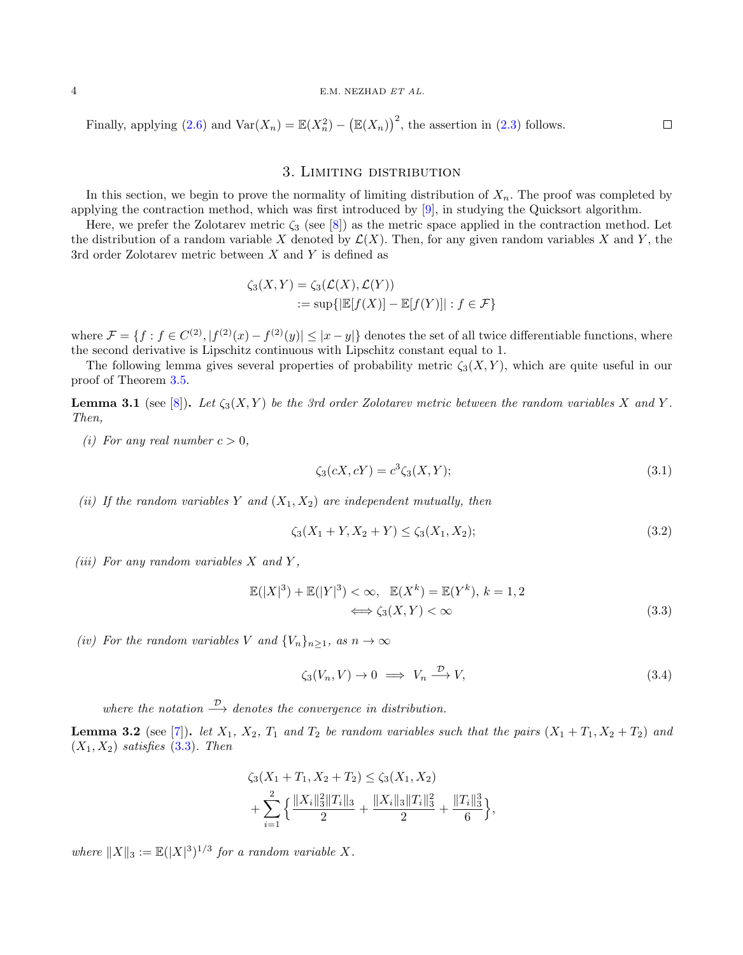#### 4 E.M. NEZHAD ET AL.

Finally, applying [\(2.6\)](#page-2-0) and  $\text{Var}(X_n) = \mathbb{E}(X_n^2) - (\mathbb{E}(X_n))^2$ , the assertion in [\(2.3\)](#page-1-5) follows.

# 3. Limiting distribution

In this section, we begin to prove the normality of limiting distribution of  $X_n$ . The proof was completed by applying the contraction method, which was first introduced by [\[9\]](#page-7-1), in studying the Quicksort algorithm.

Here, we prefer the Zolotarev metric  $\zeta_3$  (see [\[8\]](#page-6-4)) as the metric space applied in the contraction method. Let the distribution of a random variable X denoted by  $\mathcal{L}(X)$ . Then, for any given random variables X and Y, the 3rd order Zolotarev metric between  $X$  and  $Y$  is defined as

$$
\zeta_3(X,Y) = \zeta_3(\mathcal{L}(X), \mathcal{L}(Y))
$$
  
 := sup{ $\mathbb{E}[f(X)] - \mathbb{E}[f(Y)]| : f \in \mathcal{F}$ }

where  $\mathcal{F} = \{f : f \in C^{(2)}, |f^{(2)}(x) - f^{(2)}(y)| \leq |x - y|\}$  denotes the set of all twice differentiable functions, where the second derivative is Lipschitz continuous with Lipschitz constant equal to 1.

The following lemma gives several properties of probability metric  $\zeta_3(X, Y)$ , which are quite useful in our proof of Theorem [3.5.](#page-5-0)

**Lemma 3.1** (see [\[8\]](#page-6-4)). Let  $\zeta_3(X, Y)$  be the 3rd order Zolotarev metric between the random variables X and Y. Then,

(i) For any real number  $c > 0$ ,

<span id="page-3-3"></span>
$$
\zeta_3(cX, cY) = c^3 \zeta_3(X, Y); \tag{3.1}
$$

 $\Box$ 

(ii) If the random variables Y and  $(X_1, X_2)$  are independent mutually, then

<span id="page-3-4"></span>
$$
\zeta_3(X_1 + Y, X_2 + Y) \le \zeta_3(X_1, X_2); \tag{3.2}
$$

(iii) For any random variables  $X$  and  $Y$ ,

$$
\mathbb{E}(|X|^3) + \mathbb{E}(|Y|^3) < \infty, \quad \mathbb{E}(X^k) = \mathbb{E}(Y^k), \quad k = 1, 2
$$
\n
$$
\iff \zeta_3(X, Y) < \infty \tag{3.3}
$$

(iv) For the random variables V and  $\{V_n\}_{n\geq 1}$ , as  $n \to \infty$ 

<span id="page-3-1"></span><span id="page-3-0"></span>
$$
\zeta_3(V_n, V) \to 0 \implies V_n \xrightarrow{\mathcal{D}} V,\tag{3.4}
$$

where the notation  $\stackrel{\mathcal{D}}{\longrightarrow}$  denotes the convergence in distribution.

<span id="page-3-2"></span>**Lemma 3.2** (see [\[7\]](#page-6-5)). let  $X_1$ ,  $X_2$ ,  $T_1$  and  $T_2$  be random variables such that the pairs  $(X_1 + T_1, X_2 + T_2)$  and  $(X_1, X_2)$  satisfies  $(3.3)$ . Then

$$
\zeta_3(X_1 + T_1, X_2 + T_2) \le \zeta_3(X_1, X_2)
$$
  
+ 
$$
\sum_{i=1}^2 \left\{ \frac{\|X_i\|_3^2 \|T_i\|_3}{2} + \frac{\|X_i\|_3 \|T_i\|_3^2}{2} + \frac{\|T_i\|_3^3}{6} \right\},
$$

where  $||X||_3 := \mathbb{E}(|X|^3)^{1/3}$  for a random variable X.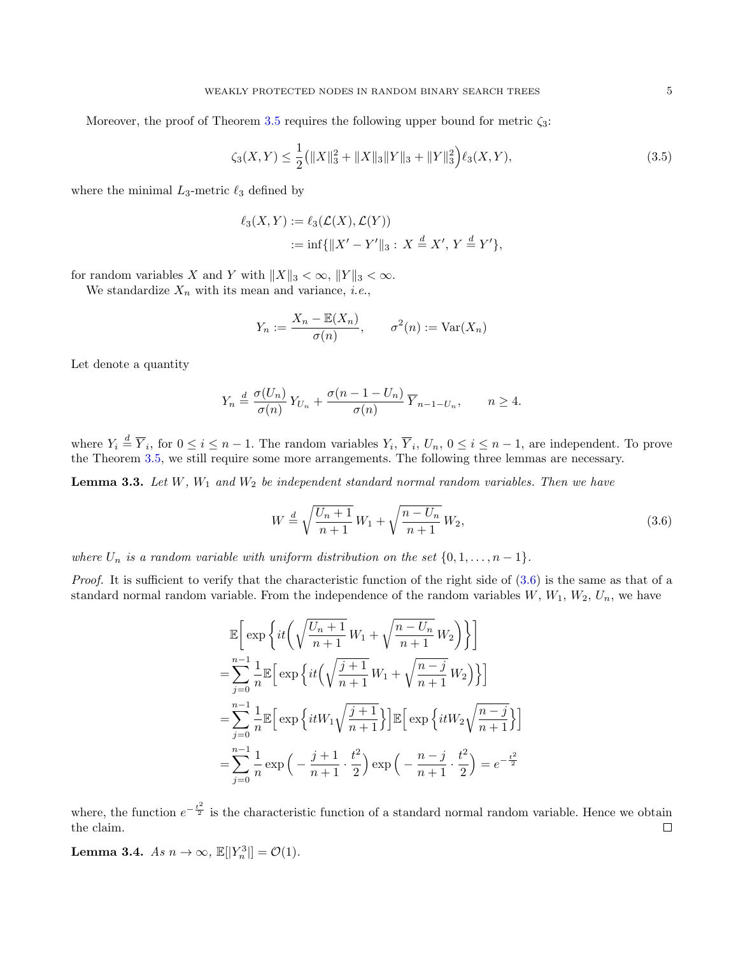Moreover, the proof of Theorem [3.5](#page-5-0) requires the following upper bound for metric  $\zeta_3$ :

$$
\zeta_3(X,Y) \le \frac{1}{2} \left( \|X\|_3^2 + \|X\|_3 \|Y\|_3 + \|Y\|_3^2 \right) \ell_3(X,Y),\tag{3.5}
$$

where the minimal  $L_3$ -metric  $\ell_3$  defined by

<span id="page-4-2"></span>
$$
\ell_3(X,Y) := \ell_3(\mathcal{L}(X), \mathcal{L}(Y))
$$
  
 := inf{ $||X' - Y'||_3$ :  $X \stackrel{d}{=} X', Y \stackrel{d}{=} Y'}$ ,

for random variables X and Y with  $||X||_3 < \infty$ ,  $||Y||_3 < \infty$ .

We standardize  $X_n$  with its mean and variance, *i.e.*,

$$
Y_n := \frac{X_n - \mathbb{E}(X_n)}{\sigma(n)}, \qquad \sigma^2(n) := \text{Var}(X_n)
$$

Let denote a quantity

$$
Y_n \stackrel{d}{=} \frac{\sigma(U_n)}{\sigma(n)} Y_{U_n} + \frac{\sigma(n-1-U_n)}{\sigma(n)} \overline{Y}_{n-1-U_n}, \qquad n \ge 4.
$$

where  $Y_i \stackrel{d}{=} \overline{Y}_i$ , for  $0 \leq i \leq n-1$ . The random variables  $Y_i$ ,  $\overline{Y}_i$ ,  $U_n$ ,  $0 \leq i \leq n-1$ , are independent. To prove the Theorem [3.5,](#page-5-0) we still require some more arrangements. The following three lemmas are necessary.

<span id="page-4-3"></span>**Lemma 3.3.** Let  $W$ ,  $W_1$  and  $W_2$  be independent standard normal random variables. Then we have

<span id="page-4-0"></span>
$$
W \stackrel{d}{=} \sqrt{\frac{U_n + 1}{n+1}} W_1 + \sqrt{\frac{n - U_n}{n+1}} W_2,
$$
\n(3.6)

where  $U_n$  is a random variable with uniform distribution on the set  $\{0, 1, \ldots, n-1\}$ .

*Proof.* It is sufficient to verify that the characteristic function of the right side of  $(3.6)$  is the same as that of a standard normal random variable. From the independence of the random variables  $W, W_1, W_2, U_n$ , we have

$$
\mathbb{E}\bigg[\exp\bigg\{it\bigg(\sqrt{\frac{U_n+1}{n+1}}W_1+\sqrt{\frac{n-U_n}{n+1}}W_2\bigg)\bigg\}\bigg]
$$
  
\n
$$
=\sum_{j=0}^{n-1}\frac{1}{n}\mathbb{E}\bigg[\exp\bigg\{it\bigg(\sqrt{\frac{j+1}{n+1}}W_1+\sqrt{\frac{n-j}{n+1}}W_2\bigg)\bigg\}\bigg]
$$
  
\n
$$
=\sum_{j=0}^{n-1}\frac{1}{n}\mathbb{E}\bigg[\exp\bigg\{itW_1\sqrt{\frac{j+1}{n+1}}\bigg\}\bigg]\mathbb{E}\bigg[\exp\bigg\{itW_2\sqrt{\frac{n-j}{n+1}}\bigg\}\bigg]
$$
  
\n
$$
=\sum_{j=0}^{n-1}\frac{1}{n}\exp\bigg(-\frac{j+1}{n+1}\cdot\frac{t^2}{2}\bigg)\exp\bigg(-\frac{n-j}{n+1}\cdot\frac{t^2}{2}\bigg) = e^{-\frac{t^2}{2}}
$$

where, the function  $e^{-\frac{t^2}{2}}$  is the characteristic function of a standard normal random variable. Hence we obtain the claim.  $\Box$ 

<span id="page-4-1"></span>**Lemma 3.4.** As  $n \to \infty$ ,  $\mathbb{E}[|Y_n^3|] = \mathcal{O}(1)$ .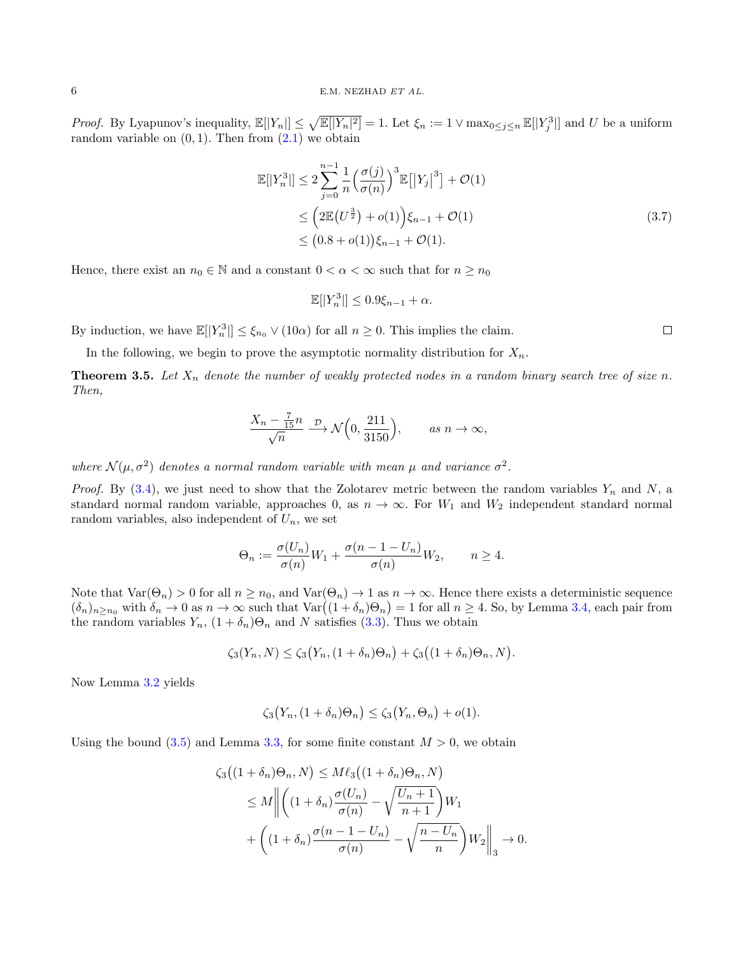*Proof.* By Lyapunov's inequality,  $\mathbb{E}[|Y_n|] \leq \sqrt{\mathbb{E}[|Y_n|^2]} = 1$ . Let  $\xi_n := 1 \vee \max_{0 \leq j \leq n} \mathbb{E}[|Y_j^3|]$  and U be a uniform random variable on  $(0, 1)$ . Then from  $(2.1)$  we obtain

$$
\mathbb{E}[|Y_n^3|] \le 2 \sum_{j=0}^{n-1} \frac{1}{n} \left(\frac{\sigma(j)}{\sigma(n)}\right)^3 \mathbb{E}[|Y_j|^3] + \mathcal{O}(1) \n\le \left(2 \mathbb{E}(U^{\frac{3}{2}}) + o(1)\right) \xi_{n-1} + \mathcal{O}(1) \n\le (0.8 + o(1)) \xi_{n-1} + \mathcal{O}(1).
$$
\n(3.7)

Hence, there exist an  $n_0 \in \mathbb{N}$  and a constant  $0 < \alpha < \infty$  such that for  $n \geq n_0$ 

$$
\mathbb{E}[|Y_n^3|] \le 0.9\xi_{n-1} + \alpha.
$$

By induction, we have  $\mathbb{E}[|Y_n^3|] \leq \xi_{n_0} \vee (10\alpha)$  for all  $n \geq 0$ . This implies the claim.

In the following, we begin to prove the asymptotic normality distribution for  $X_n$ .

<span id="page-5-0"></span>**Theorem 3.5.** Let  $X_n$  denote the number of weakly protected nodes in a random binary search tree of size n. Then,

$$
\frac{X_n - \frac{7}{15}n}{\sqrt{n}} \xrightarrow{\mathcal{D}} \mathcal{N}\Big(0, \frac{211}{3150}\Big), \qquad as \ n \to \infty,
$$

where  $\mathcal{N}(\mu, \sigma^2)$  denotes a normal random variable with mean  $\mu$  and variance  $\sigma^2$ .

*Proof.* By  $(3.4)$ , we just need to show that the Zolotarev metric between the random variables  $Y_n$  and  $N$ , a standard normal random variable, approaches 0, as  $n \to \infty$ . For  $W_1$  and  $W_2$  independent standard normal random variables, also independent of  $U_n$ , we set

$$
\Theta_n := \frac{\sigma(U_n)}{\sigma(n)} W_1 + \frac{\sigma(n-1-U_n)}{\sigma(n)} W_2, \qquad n \ge 4.
$$

Note that  $\text{Var}(\Theta_n) > 0$  for all  $n \geq n_0$ , and  $\text{Var}(\Theta_n) \to 1$  as  $n \to \infty$ . Hence there exists a deterministic sequence  $(\delta_n)_{n \geq n_0}$  with  $\delta_n \to 0$  as  $n \to \infty$  such that  $\text{Var}((1 + \delta_n) \Theta_n) = 1$  for all  $n \geq 4$ . So, by Lemma [3.4,](#page-4-1) each pair from the random variables  $Y_n$ ,  $(1 + \delta_n)\Theta_n$  and N satisfies [\(3.3\)](#page-3-0). Thus we obtain

$$
\zeta_3(Y_n, N) \le \zeta_3(Y_n, (1+\delta_n)\Theta_n) + \zeta_3((1+\delta_n)\Theta_n, N).
$$

Now Lemma [3.2](#page-3-2) yields

$$
\zeta_3(Y_n, (1+\delta_n)\Theta_n) \le \zeta_3(Y_n, \Theta_n) + o(1).
$$

Using the bound [\(3.5\)](#page-4-2) and Lemma [3.3,](#page-4-3) for some finite constant  $M > 0$ , we obtain

$$
\zeta_3((1+\delta_n)\Theta_n, N) \le M\ell_3((1+\delta_n)\Theta_n, N)
$$
  
\n
$$
\le M \left\| \left( (1+\delta_n) \frac{\sigma(U_n)}{\sigma(n)} - \sqrt{\frac{U_n+1}{n+1}} \right) W_1 \right\|
$$
  
\n
$$
+ \left( (1+\delta_n) \frac{\sigma(n-1-U_n)}{\sigma(n)} - \sqrt{\frac{n-U_n}{n}} \right) W_2 \right\|_3 \to 0.
$$

<span id="page-5-1"></span> $\Box$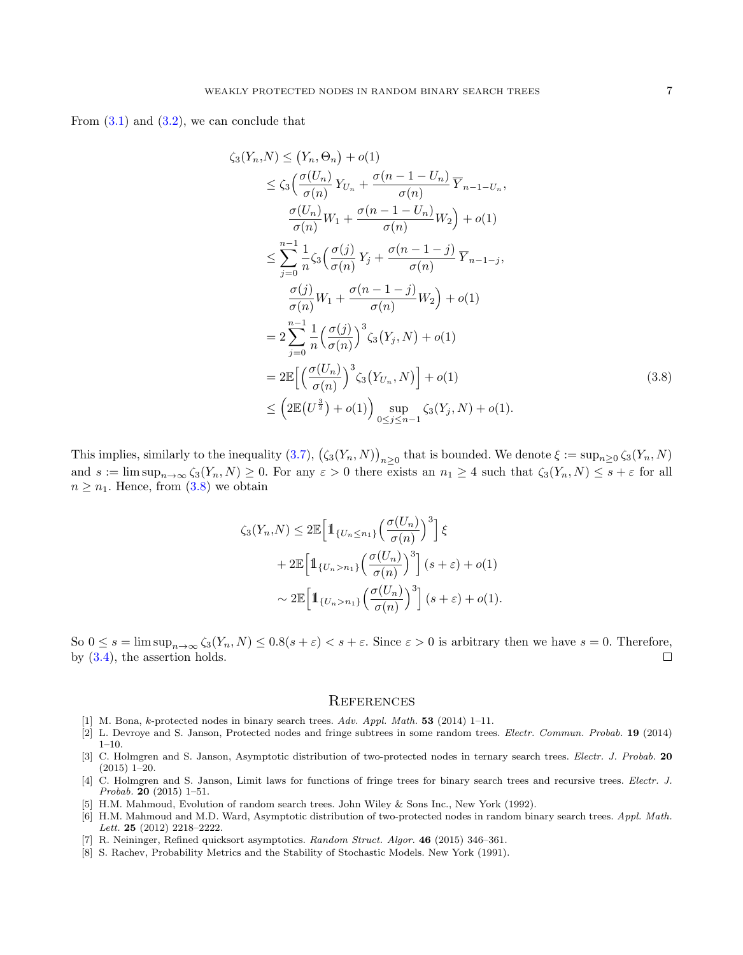From  $(3.1)$  and  $(3.2)$ , we can conclude that

$$
\zeta_3(Y_n, N) \le (Y_n, \Theta_n) + o(1)
$$
\n
$$
\le \zeta_3\left(\frac{\sigma(U_n)}{\sigma(n)}Y_{U_n} + \frac{\sigma(n-1-U_n)}{\sigma(n)}\overline{Y}_{n-1-U_n}, \frac{\sigma(U_n)}{\sigma(n)}W_1 + \frac{\sigma(n-1-U_n)}{\sigma(n)}W_2\right) + o(1)
$$
\n
$$
\le \sum_{j=0}^{n-1} \frac{1}{n} \zeta_3\left(\frac{\sigma(j)}{\sigma(n)}Y_j + \frac{\sigma(n-1-j)}{\sigma(n)}\overline{Y}_{n-1-j}, \frac{\sigma(j)}{\sigma(n)}W_1 + \frac{\sigma(n-1-j)}{\sigma(n)}W_2\right) + o(1)
$$
\n
$$
= 2\sum_{j=0}^{n-1} \frac{1}{n} \left(\frac{\sigma(j)}{\sigma(n)}\right)^3 \zeta_3(Y_j, N) + o(1)
$$
\n
$$
= 2\mathbb{E}\left[\left(\frac{\sigma(U_n)}{\sigma(n)}\right)^3 \zeta_3(Y_{U_n}, N)\right] + o(1)
$$
\n
$$
\le \left(2\mathbb{E}(U^{\frac{3}{2}}) + o(1)\right) \sup_{0 \le j \le n-1} \zeta_3(Y_j, N) + o(1).
$$
\n(3.8)

This implies, similarly to the inequality [\(3.7\)](#page-5-1),  $(\zeta_3(Y_n, N))_{n \geq 0}$  that is bounded. We denote  $\xi := \sup_{n \geq 0} \zeta_3(Y_n, N)$ and  $s := \limsup_{n \to \infty} \zeta_3(Y_n, N) \ge 0$ . For any  $\varepsilon > 0$  there exists an  $n_1 \ge 4$  such that  $\zeta_3(Y_n, N) \le s + \varepsilon$  for all  $n \geq n_1$ . Hence, from [\(3.8\)](#page-6-6) we obtain

<span id="page-6-6"></span>
$$
\zeta_3(Y_n, N) \le 2\mathbb{E}\Big[\mathbb{1}_{\{U_n \le n_1\}}\Big(\frac{\sigma(U_n)}{\sigma(n)}\Big)^3\Big]\xi
$$
  
+2\mathbb{E}\Big[\mathbb{1}\_{\{U\_n > n\_1\}}\Big(\frac{\sigma(U\_n)}{\sigma(n)}\Big)^3\Big](s+\varepsilon) + o(1)  

$$
\sim 2\mathbb{E}\Big[\mathbb{1}_{\{U_n > n_1\}}\Big(\frac{\sigma(U_n)}{\sigma(n)}\Big)^3\Big](s+\varepsilon) + o(1).
$$

So  $0 \le s = \limsup_{n \to \infty} \zeta_3(Y_n, N) \le 0.8(s + \varepsilon) < s + \varepsilon$ . Since  $\varepsilon > 0$  is arbitrary then we have  $s = 0$ . Therefore, by (3.4), the assertion holds. by [\(3.4\)](#page-3-1), the assertion holds.

## **REFERENCES**

- <span id="page-6-1"></span>[1] M. Bona, k-protected nodes in binary search trees. Adv. Appl. Math. 53 (2014) 1–11.
- [2] L. Devroye and S. Janson, Protected nodes and fringe subtrees in some random trees. Electr. Commun. Probab. 19 (2014) 1–10.
- [3] C. Holmgren and S. Janson, Asymptotic distribution of two-protected nodes in ternary search trees. Electr. J. Probab. 20 (2015) 1–20.
- <span id="page-6-2"></span>[4] C. Holmgren and S. Janson, Limit laws for functions of fringe trees for binary search trees and recursive trees. Electr. J. Probab. 20 (2015) 1–51.
- <span id="page-6-0"></span>[5] H.M. Mahmoud, Evolution of random search trees. John Wiley & Sons Inc., New York (1992).
- <span id="page-6-3"></span>[6] H.M. Mahmoud and M.D. Ward, Asymptotic distribution of two-protected nodes in random binary search trees. Appl. Math. Lett. 25 (2012) 2218–2222.
- <span id="page-6-5"></span>[7] R. Neininger, Refined quicksort asymptotics. Random Struct. Algor. 46 (2015) 346-361.
- <span id="page-6-4"></span>[8] S. Rachev, Probability Metrics and the Stability of Stochastic Models. New York (1991).